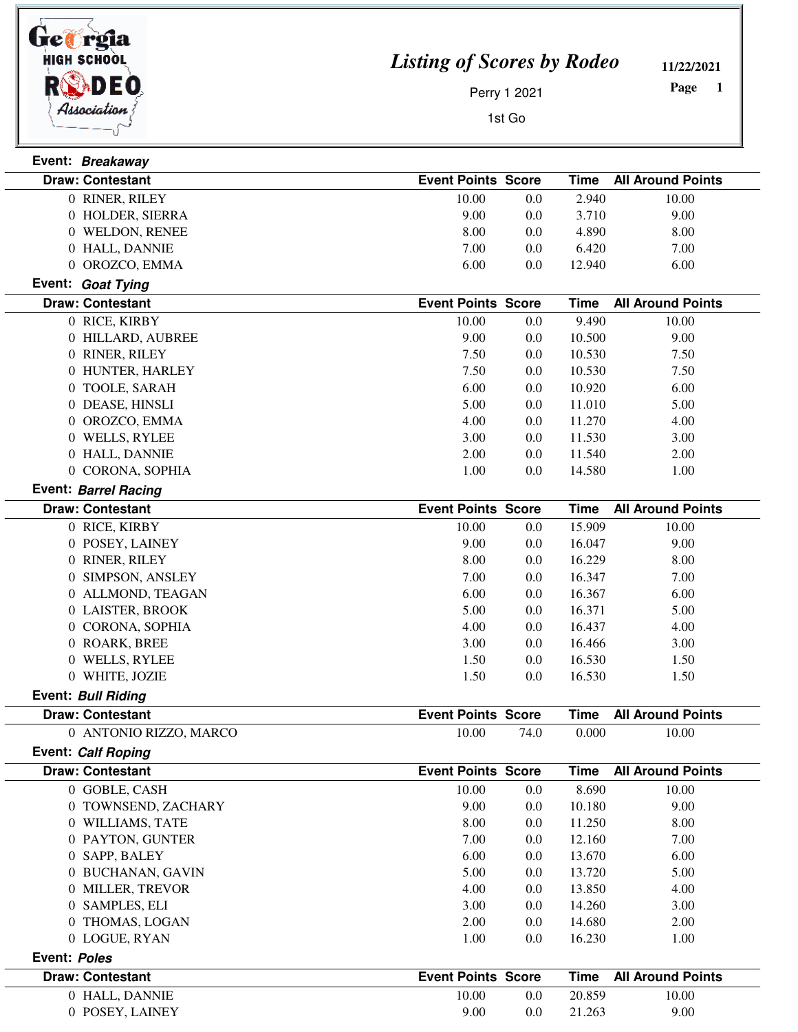

*Listing of Scores by Rodeo*

**11/22/2021**

 **1 Page** 

Perry 1 2021

1st Go

|              | Event: Breakaway          |                           |         |             |                          |
|--------------|---------------------------|---------------------------|---------|-------------|--------------------------|
|              | <b>Draw: Contestant</b>   | <b>Event Points Score</b> |         | <b>Time</b> | <b>All Around Points</b> |
|              | 0 RINER, RILEY            | 10.00                     | 0.0     | 2.940       | 10.00                    |
|              | 0 HOLDER, SIERRA          | 9.00                      | 0.0     | 3.710       | 9.00                     |
|              | 0 WELDON, RENEE           | 8.00                      | 0.0     | 4.890       | 8.00                     |
|              | 0 HALL, DANNIE            | 7.00                      | 0.0     | 6.420       | 7.00                     |
|              | 0 OROZCO, EMMA            | 6.00                      | 0.0     | 12.940      | 6.00                     |
|              | Event: Goat Tying         |                           |         |             |                          |
|              | <b>Draw: Contestant</b>   | <b>Event Points Score</b> |         | <b>Time</b> | <b>All Around Points</b> |
|              | 0 RICE, KIRBY             | 10.00                     | $0.0\,$ | 9.490       | 10.00                    |
|              | 0 HILLARD, AUBREE         | 9.00                      | 0.0     | 10.500      | 9.00                     |
|              | 0 RINER, RILEY            | 7.50                      | $0.0\,$ | 10.530      | 7.50                     |
|              | 0 HUNTER, HARLEY          | 7.50                      | 0.0     | 10.530      | 7.50                     |
|              | 0 TOOLE, SARAH            | 6.00                      | 0.0     | 10.920      | 6.00                     |
|              | 0 DEASE, HINSLI           | 5.00                      | $0.0\,$ | 11.010      | 5.00                     |
|              | 0 OROZCO, EMMA            | 4.00                      | 0.0     | 11.270      | 4.00                     |
|              | 0 WELLS, RYLEE            | 3.00                      | $0.0\,$ | 11.530      | 3.00                     |
|              | 0 HALL, DANNIE            | 2.00                      | 0.0     | 11.540      | 2.00                     |
|              | 0 CORONA, SOPHIA          | 1.00                      | $0.0\,$ | 14.580      | 1.00                     |
|              | Event: Barrel Racing      |                           |         |             |                          |
|              | <b>Draw: Contestant</b>   | <b>Event Points Score</b> |         | <b>Time</b> | <b>All Around Points</b> |
|              | 0 RICE, KIRBY             | 10.00                     | $0.0\,$ | 15.909      | 10.00                    |
|              | 0 POSEY, LAINEY           | 9.00                      | $0.0\,$ | 16.047      | 9.00                     |
|              | 0 RINER, RILEY            | 8.00                      | 0.0     | 16.229      | 8.00                     |
|              | 0 SIMPSON, ANSLEY         | 7.00                      | 0.0     | 16.347      | 7.00                     |
|              | 0 ALLMOND, TEAGAN         | 6.00                      | 0.0     | 16.367      | 6.00                     |
|              | 0 LAISTER, BROOK          | 5.00                      | 0.0     | 16.371      | 5.00                     |
|              | 0 CORONA, SOPHIA          | 4.00                      | 0.0     | 16.437      | 4.00                     |
|              | 0 ROARK, BREE             | 3.00                      | $0.0\,$ | 16.466      | 3.00                     |
|              | 0 WELLS, RYLEE            | 1.50                      | $0.0\,$ | 16.530      | 1.50                     |
|              | 0 WHITE, JOZIE            | 1.50                      | 0.0     | 16.530      | 1.50                     |
|              | <b>Event: Bull Riding</b> |                           |         |             |                          |
|              | <b>Draw: Contestant</b>   | <b>Event Points Score</b> |         | <b>Time</b> | <b>All Around Points</b> |
|              | 0 ANTONIO RIZZO. MARCO    | 10.00                     | 74.0    | 0.000       | 10.00                    |
|              | Event: Calf Roping        |                           |         |             |                          |
|              | <b>Draw: Contestant</b>   | <b>Event Points Score</b> |         | <b>Time</b> | <b>All Around Points</b> |
|              | 0 GOBLE, CASH             | 10.00                     | 0.0     | 8.690       | 10.00                    |
|              | 0 TOWNSEND, ZACHARY       | 9.00                      | 0.0     | 10.180      | 9.00                     |
|              | 0 WILLIAMS, TATE          | 8.00                      | 0.0     | 11.250      | 8.00                     |
|              | 0 PAYTON, GUNTER          | 7.00                      | $0.0\,$ | 12.160      | 7.00                     |
|              | 0 SAPP, BALEY             | 6.00                      | $0.0\,$ | 13.670      | 6.00                     |
|              | 0 BUCHANAN, GAVIN         | 5.00                      | $0.0\,$ | 13.720      | 5.00                     |
|              | 0 MILLER, TREVOR          | 4.00                      | $0.0\,$ | 13.850      | 4.00                     |
|              | 0 SAMPLES, ELI            | 3.00                      | $0.0\,$ | 14.260      | 3.00                     |
|              | 0 THOMAS, LOGAN           | 2.00                      | $0.0\,$ | 14.680      | 2.00                     |
|              | 0 LOGUE, RYAN             | 1.00                      | 0.0     | 16.230      | 1.00                     |
| Event: Poles |                           |                           |         |             |                          |
|              | <b>Draw: Contestant</b>   | <b>Event Points Score</b> |         | <b>Time</b> | <b>All Around Points</b> |
|              | 0 HALL, DANNIE            | 10.00                     | $0.0\,$ | 20.859      | 10.00                    |
|              | 0 POSEY, LAINEY           | 9.00                      | 0.0     | 21.263      | 9.00                     |